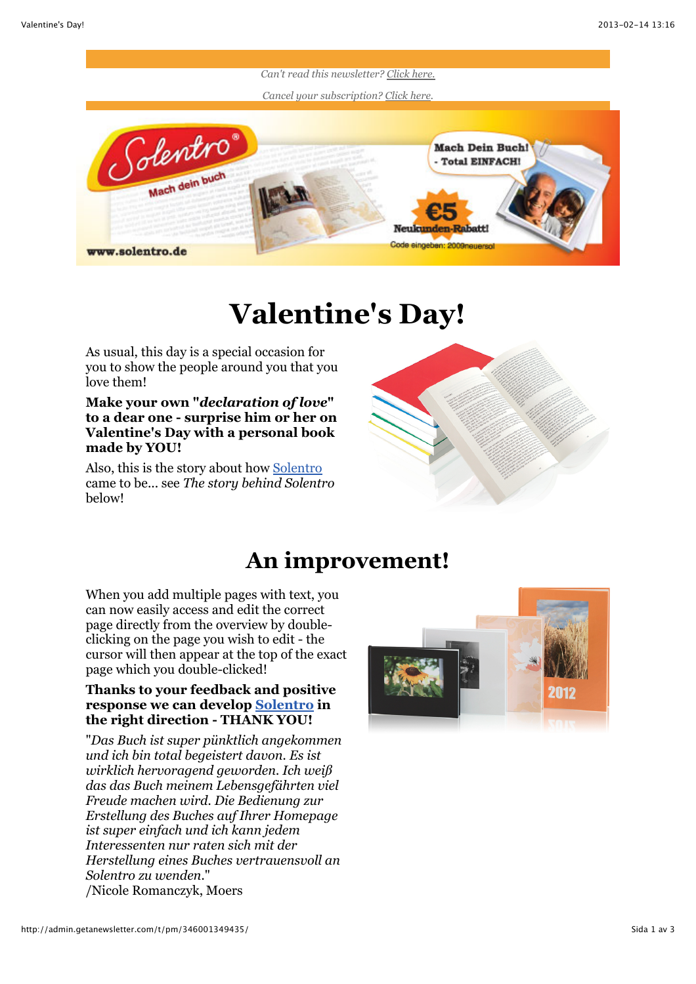

## **Valentine's Day!**

As usual, this day is a special occasion for you to show the people around you that you love them!

**Make your own "***declaration of love***" to a dear one - surprise him or her on Valentine's Day with a personal book made by YOU!**

Also, this is the story about how [Solentro](http://www.solentro.de/) came to be... see *The story behind Solentro* below!



## **An improvement!**

When you add multiple pages with text, you can now easily access and edit the correct page directly from the overview by doubleclicking on the page you wish to edit - the cursor will then appear at the top of the exact page which you double-clicked!

## **Thanks to your feedback and positive response we can develop [Solentro](http://www.solentro.de/) in the right direction - THANK YOU!**

"*Das Buch ist super pünktlich angekommen und ich bin total begeistert davon. Es ist wirklich hervoragend geworden. Ich weiß das das Buch meinem Lebensgefährten viel Freude machen wird. Die Bedienung zur Erstellung des Buches auf Ihrer Homepage ist super einfach und ich kann jedem Interessenten nur raten sich mit der Herstellung eines Buches vertrauensvoll an Solentro zu wenden.*" /Nicole Romanczyk, Moers

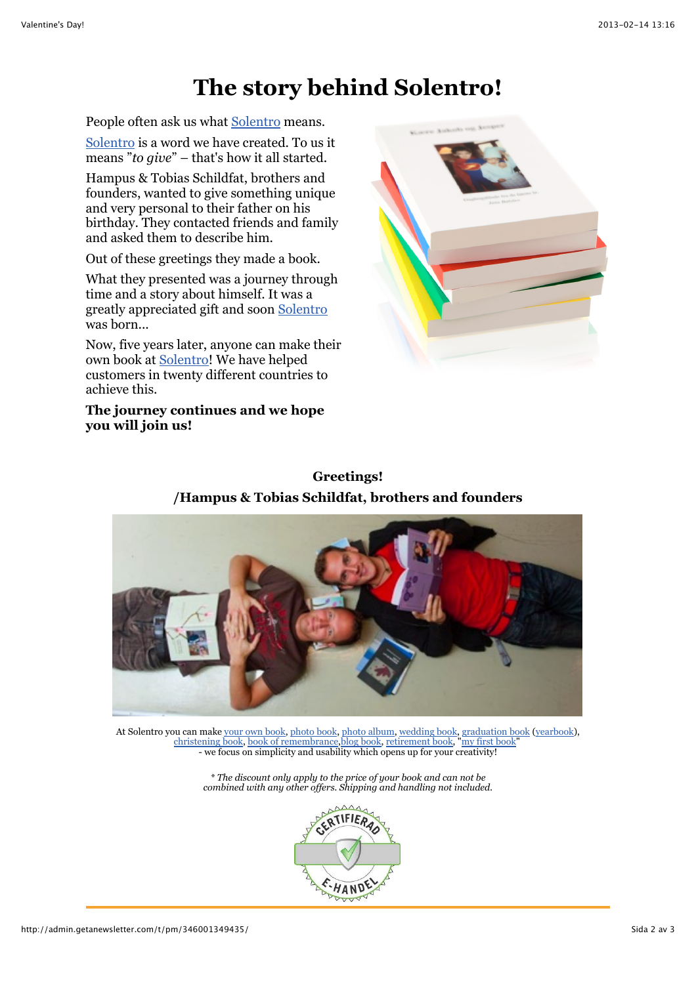## **The story behind Solentro!**

People often ask us what [Solentro](http://www.solentro.de/) means.

[Solentro](http://www.solentro.de/) is a word we have created. To us it means "*to give*" – that's how it all started.

Hampus & Tobias Schildfat, brothers and founders, wanted to give something unique and very personal to their father on his birthday. They contacted friends and family and asked them to describe him.

Out of these greetings they made a book.

What they presented was a journey through time and a story about himself. It was a greatly appreciated gift and soon [Solentro](http://www.solentro.de/) was born...

Now, five years later, anyone can make their own book at [Solentro!](http://www.solentro.de/) We have helped customers in twenty different countries to achieve this.

**The journey continues and we hope you will join us!**



**Greetings! /Hampus & Tobias Schildfat, brothers and founders**



At Solentro you can make [your own book,](http://solentro.com/my_own_book) [photo book, photo album,](http://solentro.com/photo_book) [wedding book,](http://solentro.com/wedding_book) [graduation book](http://solentro.com/graduation_yearbook) ([yearbook\)](http://solentro.com/graduation_yearbook), [christening book,](http://solentro.com/christening_book) [book of remembrance](http://solentro.com/book_of_remembrance)[,blog book,](http://solentro.com/blog_to_book) [retirement book](http://solentro.com/retirement_book), ["my first book"](http://solentro.com/my_first_book) - we focus on simplicity and usability which opens up for your creativity!

> *\* The discount only apply to the price of your book and can not be combined with any other offers. Shipping and handling not included.*